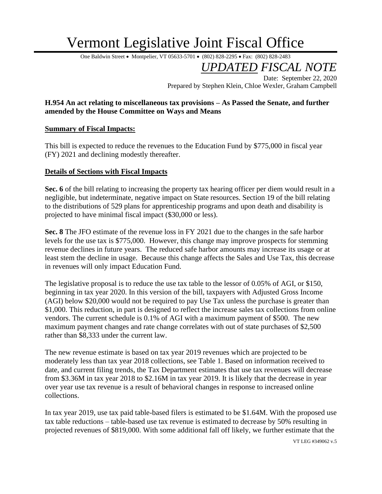## Vermont Legislative Joint Fiscal Office

One Baldwin Street • Montpelier, VT 05633-5701 • (802) 828-2295 • Fax: (802) 828-2483

*UPDATED FISCAL NOTE*

Date: September 22, 2020 Prepared by Stephen Klein, Chloe Wexler, Graham Campbell

## **H.954 An act relating to miscellaneous tax provisions – As Passed the Senate, and further amended by the House Committee on Ways and Means**

## **Summary of Fiscal Impacts:**

This bill is expected to reduce the revenues to the Education Fund by \$775,000 in fiscal year (FY) 2021 and declining modestly thereafter.

## **Details of Sections with Fiscal Impacts**

Sec. 6 of the bill relating to increasing the property tax hearing officer per diem would result in a negligible, but indeterminate, negative impact on State resources. Section 19 of the bill relating to the distributions of 529 plans for apprenticeship programs and upon death and disability is projected to have minimal fiscal impact (\$30,000 or less).

**Sec. 8** The JFO estimate of the revenue loss in FY 2021 due to the changes in the safe harbor levels for the use tax is \$775,000. However, this change may improve prospects for stemming revenue declines in future years. The reduced safe harbor amounts may increase its usage or at least stem the decline in usage. Because this change affects the Sales and Use Tax, this decrease in revenues will only impact Education Fund.

The legislative proposal is to reduce the use tax table to the lessor of 0.05% of AGI, or \$150, beginning in tax year 2020. In this version of the bill, taxpayers with Adjusted Gross Income (AGI) below \$20,000 would not be required to pay Use Tax unless the purchase is greater than \$1,000. This reduction, in part is designed to reflect the increase sales tax collections from online vendors. The current schedule is 0.1% of AGI with a maximum payment of \$500. The new maximum payment changes and rate change correlates with out of state purchases of \$2,500 rather than \$8,333 under the current law.

The new revenue estimate is based on tax year 2019 revenues which are projected to be moderately less than tax year 2018 collections, see Table 1. Based on information received to date, and current filing trends, the Tax Department estimates that use tax revenues will decrease from \$3.36M in tax year 2018 to \$2.16M in tax year 2019. It is likely that the decrease in year over year use tax revenue is a result of behavioral changes in response to increased online collections.

In tax year 2019, use tax paid table-based filers is estimated to be \$1.64M. With the proposed use tax table reductions – table-based use tax revenue is estimated to decrease by 50% resulting in projected revenues of \$819,000. With some additional fall off likely, we further estimate that the